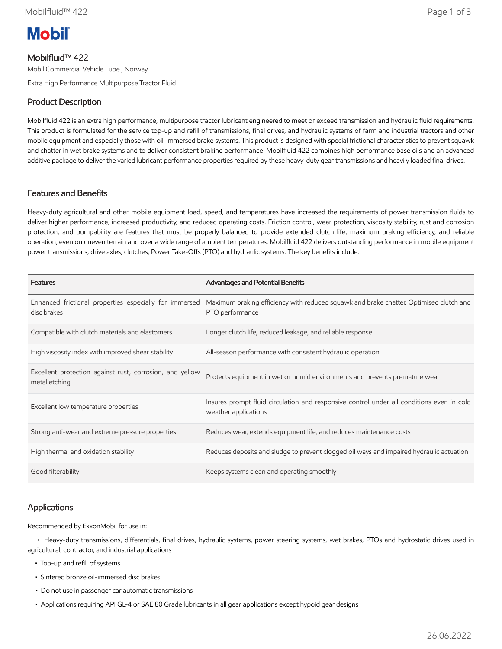

# Mobilfluid™ 422

Mobil Commercial Vehicle Lube , Norway

Extra High Performance Multipurpose Tractor Fluid

# Product Description

Mobilfluid 422 is an extra high performance, multipurpose tractor lubricant engineered to meet or exceed transmission and hydraulic fluid requirements. This product is formulated for the service top-up and refill of transmissions, final drives, and hydraulic systems of farm and industrial tractors and other mobile equipment and especially those with oil-immersed brake systems. This product is designed with special frictional characteristics to prevent squawk and chatter in wet brake systems and to deliver consistent braking performance. Mobilfluid 422 combines high performance base oils and an advanced additive package to deliver the varied lubricant performance properties required by these heavy-duty gear transmissions and heavily loaded final drives.

#### Features and Benefits

Heavy-duty agricultural and other mobile equipment load, speed, and temperatures have increased the requirements of power transmission fluids to deliver higher performance, increased productivity, and reduced operating costs. Friction control, wear protection, viscosity stability, rust and corrosion protection, and pumpability are features that must be properly balanced to provide extended clutch life, maximum braking efficiency, and reliable operation, even on uneven terrain and over a wide range of ambient temperatures. Mobilfluid 422 delivers outstanding performance in mobile equipment power transmissions, drive axles, clutches, Power Take-Offs (PTO) and hydraulic systems. The key benefits include:

| <b>Features</b>                                                           | Advantages and Potential Benefits                                                                                 |
|---------------------------------------------------------------------------|-------------------------------------------------------------------------------------------------------------------|
| Enhanced frictional properties especially for immersed<br>disc brakes     | Maximum braking efficiency with reduced squawk and brake chatter. Optimised clutch and<br>PTO performance         |
| Compatible with clutch materials and elastomers                           | Longer clutch life, reduced leakage, and reliable response                                                        |
| High viscosity index with improved shear stability                        | All-season performance with consistent hydraulic operation                                                        |
| Excellent protection against rust, corrosion, and yellow<br>metal etching | Protects equipment in wet or humid environments and prevents premature wear                                       |
| Excellent low temperature properties                                      | Insures prompt fluid circulation and responsive control under all conditions even in cold<br>weather applications |
| Strong anti-wear and extreme pressure properties                          | Reduces wear, extends equipment life, and reduces maintenance costs                                               |
| High thermal and oxidation stability                                      | Reduces deposits and sludge to prevent clogged oil ways and impaired hydraulic actuation                          |
| Good filterability                                                        | Keeps systems clean and operating smoothly                                                                        |

## Applications

Recommended by ExxonMobil for use in:

 • Heavy-duty transmissions, differentials, final drives, hydraulic systems, power steering systems, wet brakes, PTOs and hydrostatic drives used in agricultural, contractor, and industrial applications

- Top-up and refill of systems
- Sintered bronze oil-immersed disc brakes
- Do not use in passenger car automatic transmissions
- Applications requiring API GL-4 or SAE 80 Grade lubricants in all gear applications except hypoid gear designs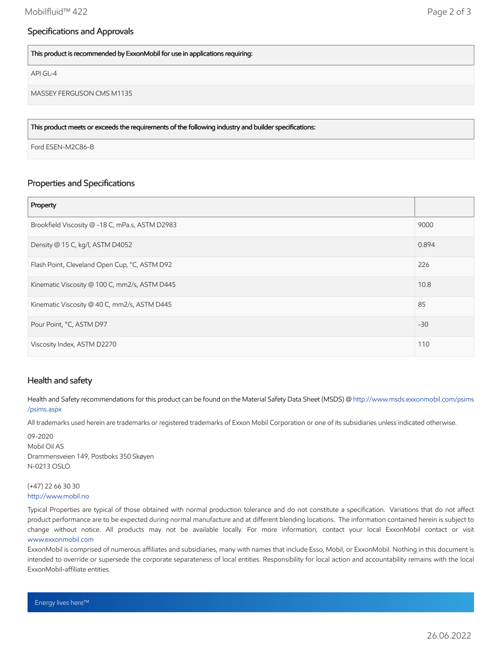## Specifications and Approvals

This product is recommended by ExxonMobil for use in applications requiring:

API GL-4

MASSEY FERGUSON CMS M1135

This product meets or exceeds the requirements of the following industry and builder specifications:

Ford ESEN-M2C86-B

### Properties and Specifications

| Property                                        |       |
|-------------------------------------------------|-------|
| Brookfield Viscosity @ -18 C, mPa.s, ASTM D2983 | 9000  |
| Density @ 15 C, kg/l, ASTM D4052                | 0.894 |
| Flash Point, Cleveland Open Cup, °C, ASTM D92   | 226   |
| Kinematic Viscosity @ 100 C, mm2/s, ASTM D445   | 10.8  |
| Kinematic Viscosity @ 40 C, mm2/s, ASTM D445    | 85    |
| Pour Point, °C, ASTM D97                        | $-30$ |
| Viscosity Index, ASTM D2270                     | 110   |

#### Health and safety

Health and Safety recommendations for this product can be found on the Material Safety Data Sheet (MSDS) @ [http://www.msds.exxonmobil.com/psims](http://www.msds.exxonmobil.com/psims/psims.aspx) /psims.aspx

All trademarks used herein are trademarks or registered trademarks of Exxon Mobil Corporation or one of its subsidiaries unless indicated otherwise.

09-2020 Mobil Oil AS Drammensveien 149, Postboks 350 Skøyen N-0213 OSLO

#### (+47) 22 66 30 30 [http://www.mobil.no](http://www.mobil.no/)

Typical Properties are typical of those obtained with normal production tolerance and do not constitute a specification. Variations that do not affect product performance are to be expected during normal manufacture and at different blending locations. The information contained herein is subject to change without notice. All products may not be available locally. For more information, contact your local ExxonMobil contact or visit [www.exxonmobil.com](http://www.exxonmobil.com/)

ExxonMobil is comprised of numerous affiliates and subsidiaries, many with names that include Esso, Mobil, or ExxonMobil. Nothing in this document is intended to override or supersede the corporate separateness of local entities. Responsibility for local action and accountability remains with the local ExxonMobil-affiliate entities.